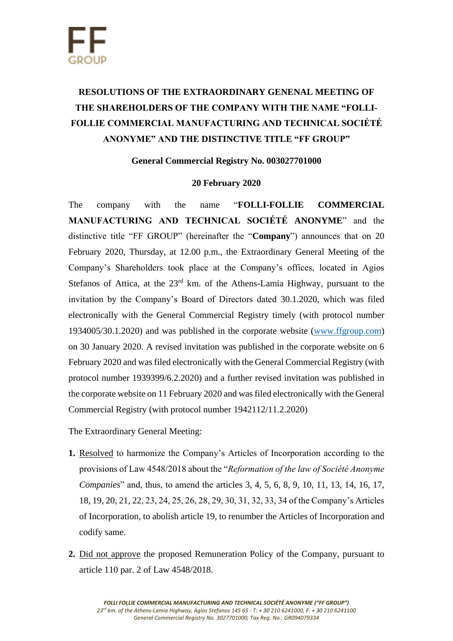## **RESOLUTIONS OF THE EXTRAORDINARY GENENAL MEETING OF THE SHAREHOLDERS OF THE COMPANY WITH THE NAME "FOLLI-FOLLIE COMMERCIAL MANUFACTURING AND TECHNICAL SOCIÉTÉ ANONYME" AND THE DISTINCTIVE TITLE "FF GROUP"**

**General Commercial Registry No. 003027701000**

## **20 February 2020**

The company with the name "**FOLLI-FOLLIE COMMERCIAL MANUFACTURING AND TECHNICAL SOCIÉTÉ ANONYME**" and the distinctive title "FF GROUP" (hereinafter the "**Company**") announces that on 20 February 2020, Thursday, at 12.00 p.m., the Extraordinary General Meeting of the Company's Shareholders took place at the Company's offices, located in Agios Stefanos of Attica, at the 23<sup>rd</sup> km. of the Athens-Lamia Highway, pursuant to the invitation by the Company's Board of Directors dated 30.1.2020, which was filed electronically with the General Commercial Registry timely (with protocol number 1934005/30.1.2020) and was published in the corporate website [\(www.ffgroup.com\)](http://www.ffgroup.com/) on 30 January 2020. A revised invitation was published in the corporate website on 6 February 2020 and was filed electronically with the General Commercial Registry (with protocol number 1939399/6.2.2020) and a further revised invitation was published in the corporate website on 11 February 2020 and was filed electronically with the General Commercial Registry (with protocol number 1942112/11.2.2020)

The Extraordinary General Meeting:

- **1.** Resolved to harmonize the Company's Articles of Incorporation according to the provisions of Law 4548/2018 about the "*Reformation of the law of Société Anonyme Companies*" and, thus, to amend the articles 3, 4, 5, 6, 8, 9, 10, 11, 13, 14, 16, 17, 18, 19, 20, 21, 22, 23, 24, 25, 26, 28, 29, 30, 31, 32, 33, 34 of the Company's Articles of Incorporation, to abolish article 19, to renumber the Articles of Incorporation and codify same.
- **2.** Did not approve the proposed Remuneration Policy of the Company, pursuant to article 110 par. 2 of Law 4548/2018.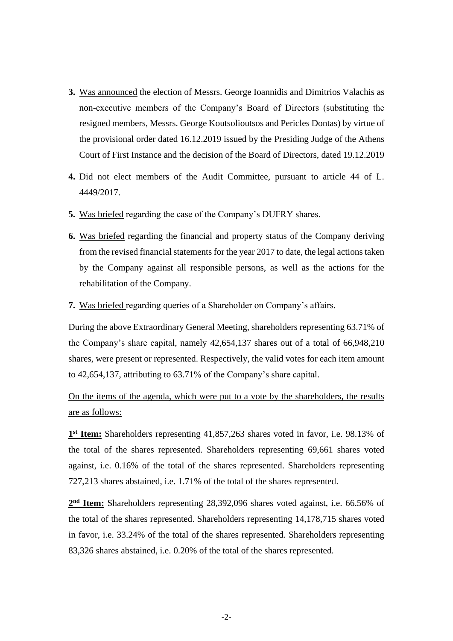- **3.** Was announced the election of Messrs. George Ioannidis and Dimitrios Valachis as non-executive members of the Company's Board of Directors (substituting the resigned members, Messrs. George Koutsolioutsos and Pericles Dontas) by virtue of the provisional order dated 16.12.2019 issued by the Presiding Judge of the Athens Court of First Instance and the decision of the Board of Directors, dated 19.12.2019
- **4.** Did not elect members of the Audit Committee, pursuant to article 44 of L. 4449/2017.
- **5.** Was briefed regarding the case of the Company's DUFRY shares.
- **6.** Was briefed regarding the financial and property status of the Company deriving from the revised financial statements for the year 2017 to date, the legal actions taken by the Company against all responsible persons, as well as the actions for the rehabilitation of the Company.
- **7.** Was briefed regarding queries of a Shareholder on Company's affairs.

During the above Extraordinary General Meeting, shareholders representing 63.71% of the Company's share capital, namely 42,654,137 shares out of a total of 66,948,210 shares, were present or represented. Respectively, the valid votes for each item amount to 42,654,137, attributing to 63.71% of the Company's share capital.

On the items of the agenda, which were put to a vote by the shareholders, the results are as follows:

1<sup>st</sup> Item: Shareholders representing 41,857,263 shares voted in favor, i.e. 98.13% of the total of the shares represented. Shareholders representing 69,661 shares voted against, i.e. 0.16% of the total of the shares represented. Shareholders representing 727,213 shares abstained, i.e. 1.71% of the total of the shares represented.

2<sup>nd</sup> Item: Shareholders representing 28,392,096 shares voted against, i.e. 66.56% of the total of the shares represented. Shareholders representing 14,178,715 shares voted in favor, i.e. 33.24% of the total of the shares represented. Shareholders representing 83,326 shares abstained, i.e. 0.20% of the total of the shares represented.